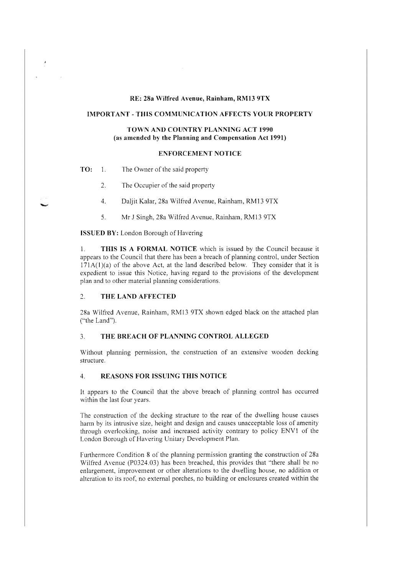# **RE: 28a Wilfred Avenue, Rainham, RM13 9TX**

### **IMPORTANT - THIS COMMUNICATION AFFECTS YOUR PROPERTY**

# TOWN AND COUNTRY PLANNING ACT 1990 **(as amended by the Planning and Compensation Act 1991)**

## **ENFORCEMENT NOTICE**

**TO:** 1. The Owner of the said property

 $\overline{1}$ 

- 2. The Occupier of the said property
- 4. Daljit Kalar, 28a Wilfred Avenue, Rainham, RM13 9TX
- 5. Mr J Singh, 28a Wilfred Avenue, Rainham, RM13 9TX

**ISSUED BY:** London Borough of Havering

1. **THIS IS A FORMAL NOTICE** which is issued by the Council because it appears to the Council that there has been a breach of planning control, under Section  $171A(1)(a)$  of the above Act, at the land described below. They consider that it is expedient to issue this Notice, having regard to the provisions of the development plan and to other material planning considerations .

## ..., **THE LAND AFFECTED**

28a Wilfred Avenue, Rainham, RM13 9TX shown edged black on the attached plan ("the Land").

### 3. THE BREACH OF PLANNING CONTROL ALLEGED

Without planning permission, the construction of an extensive wooden decking structure.

#### 4. **REASONS FOR ISSUING THIS NOTICE**

It appears to the Council that the above breach of planning control has occurred within the last four years.

The construction of the decking structure to the rear of the dwelling house causes harm by its intrusive size, height and design and causes unacceptable loss of amenity through overlooking, noise and increased activity contrary to policy ENVl of the London Borough of Havering Unitary Development Plan.

Furthermore Condition 8 of the planning permission granting the construction of 28a Wilfred Avenue (P0324.03) has been breached, this provides that "there shall be no enlargement, improvement or other alterations to the dwelling house, no addition or alteration to its roof, no external porches, no building or enclosures created within the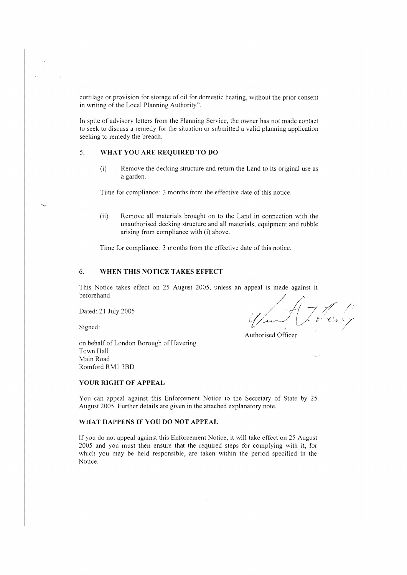curtilage or provision for storage of oil for domestic heating, without the prior consent in writing of the Local Planning Authority".

In spite of advisory letters from the Planning Service, the owner has not made contact to seek to discuss a remedy for the situation or submitted a valid planning application seeking to remedy the breach.

# 5. **WHAT YOU ARE REQUIRED TO DO**

(i) Remove the decking structure and return the Land to its original use as a garden.

Time for compliance: 3 months from the effective date of this notice.

(ii) Remove all materials brought on to the Land in connection with the unauthorised decking structure and all materials, equipment and rubble arising from compliance with (i) above.

Time for compliance: 3 months from the effective date of this notice.

## 6. **WHEN THIS NOTICE TAKES EFFECT**

This Notice takes effect on 25 August 2005, unless an appeal is made against it beforehand

Dated: 21 July 2005

Signed:

Authorised Officer

on behalf of London Borough of Ifavering Town Hall Main Road Romford RMl 3BD

## **YOUR RIGHT OF APPEAL**

You can appeal against this Enforcement Notice to the Secretary of State by 25 August 2005. further details are given in the attached explanatory note.

#### **WHAT HAPPENS IF YOU DO NOT APPEAL**

If you do not appeal against this Enforcement Notice, it will take effect on 25 August 2005 and you must then ensure that the required steps for complying with it, for which you may be held responsible, are taken within the period specified in the Notice.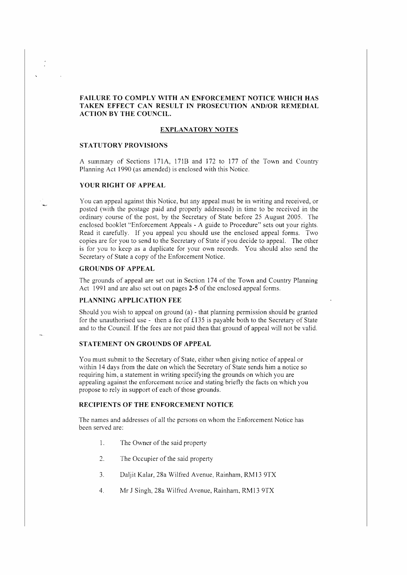# **FAILURE TO COMPLY WITH AN ENFORCEMENT NOTICE WHICH HAS**  TAKEN EFFECT CAN RESULT IN PROSECUTION AND/OR REMEDIAL **ACTION BY THE COUNCIL.**

### **EXPLANATORY NOTES**

## **STATUTORY PROVISIONS**

A summary of Sections 171A, 171B and 172 to 177 of the Town and Country Planning Act 1990 (as amended) is enclosed with this Notice.

## **YOVR RIGHT OF APPEAL**

*'{ou* can appeal against this Notice, but any appeal must be in writing and received, or posted \\Vith the postage paid and properly addressed) in time to be received in the ordinary course of the post, by the Secretary of State before 25 August 2005. The enclosed booklet "Enforcement Appeals - A guide to Procedure" sets out your rights. Read it carefully. If you appeal you should use the enclosed appeal forms. Two copies are for you to send to the Secretary of State if you decide to appeal. The other is for you to keep as a duplicate for your own records. You should also send the Secretary of State a copy of the Enforcement Notice.

#### **GROUNDS OF APPEAL**

The grounds of appeal are set out in Section 174 of the Town and Country Planning Act 1991 and are also set out on pages **2-5** of the enclosed appeal forms.

# **PLANI\ING APPLICATION FEE**

Should you wish to appeal on ground  $(a)$  - that planning permission should be granted for the unauthorised use - then a fee of  $£135$  is payable both to the Secretary of State and to the Council. If the fees are not paid then that ground of appeal will not be valid.

## **STATEMENT ON GROUNDS OF APPEAL**

You must submit to the Secretary of State, either when giving notice of appeal or within 14 days from the date on which the Secretary of State sends him a notice so requiring him, a statement in writing specifying the grounds on which you are appealing against the enforcement notice and stating briefly the facts on which you propose to rely in support of each of those grounds.

## RECIPIENTS OF THE ENFORCEMENT NOTICE

The names and addresses of all the persons on whom the Enforcement Notice has been served are:

- l, The Owner of the said property
- 2. The Occupier of the said property
- 3. Daljit Kalar, 28a Wilfred Avenue, Rainham, RM13 9TX
- 4. Mr J Singh, 28a Wilfred Avenue, Rainham, RM13 9TX